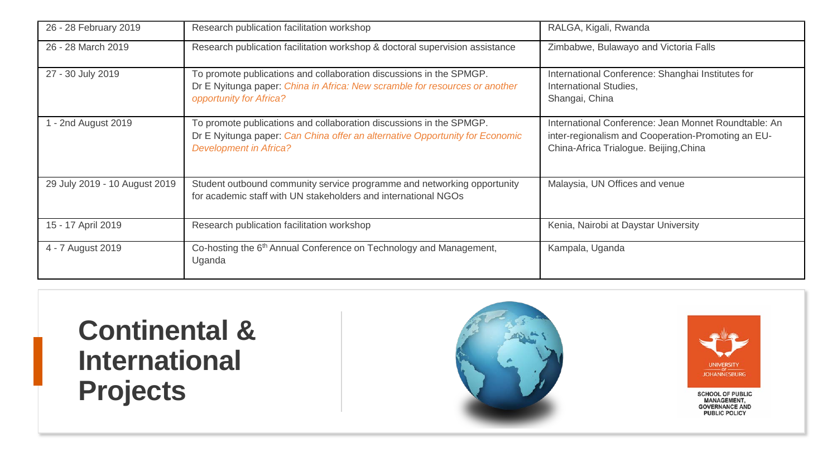| 26 - 28 February 2019         | Research publication facilitation workshop                                                                                                                                           | RALGA, Kigali, Rwanda                                                                                                                                |
|-------------------------------|--------------------------------------------------------------------------------------------------------------------------------------------------------------------------------------|------------------------------------------------------------------------------------------------------------------------------------------------------|
| 26 - 28 March 2019            | Research publication facilitation workshop & doctoral supervision assistance                                                                                                         | Zimbabwe, Bulawayo and Victoria Falls                                                                                                                |
| 27 - 30 July 2019             | To promote publications and collaboration discussions in the SPMGP.<br>Dr E Nyitunga paper: <i>China in Africa: New scramble for resources or another</i><br>opportunity for Africa? | International Conference: Shanghai Institutes for<br>International Studies,<br>Shangai, China                                                        |
| - 2nd August 2019             | To promote publications and collaboration discussions in the SPMGP.<br>Dr E Nyitunga paper: Can China offer an alternative Opportunity for Economic<br><b>Development in Africa?</b> | International Conference: Jean Monnet Roundtable: An<br>inter-regionalism and Cooperation-Promoting an EU-<br>China-Africa Trialogue. Beijing, China |
| 29 July 2019 - 10 August 2019 | Student outbound community service programme and networking opportunity<br>for academic staff with UN stakeholders and international NGOs                                            | Malaysia, UN Offices and venue                                                                                                                       |
| 15 - 17 April 2019            | Research publication facilitation workshop                                                                                                                                           | Kenia, Nairobi at Daystar University                                                                                                                 |
| 4 - 7 August 2019             | Co-hosting the 6 <sup>th</sup> Annual Conference on Technology and Management,<br>Uganda                                                                                             | Kampala, Uganda                                                                                                                                      |

**Continental & International Projects**





SCHOOL OF PUBLIC<br>MANAGEMENT,<br>GOVERNANCE AND **PUBLIC POLICY**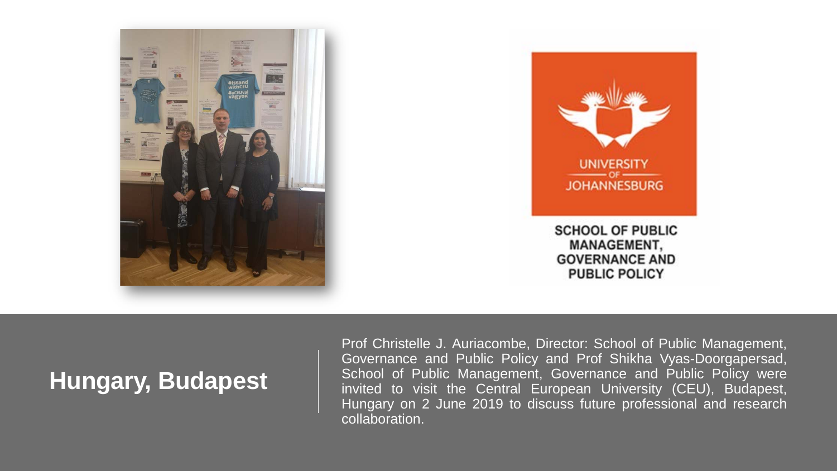



## **Hungary, Budapest**

Prof Christelle J. Auriacombe, Director: School of Public Management, Governance and Public Policy and Prof Shikha Vyas-Doorgapersad, School of Public Management, Governance and Public Policy were invited to visit the Central European University (CEU), Budapest, Hungary on 2 June 2019 to discuss future professional and research collaboration.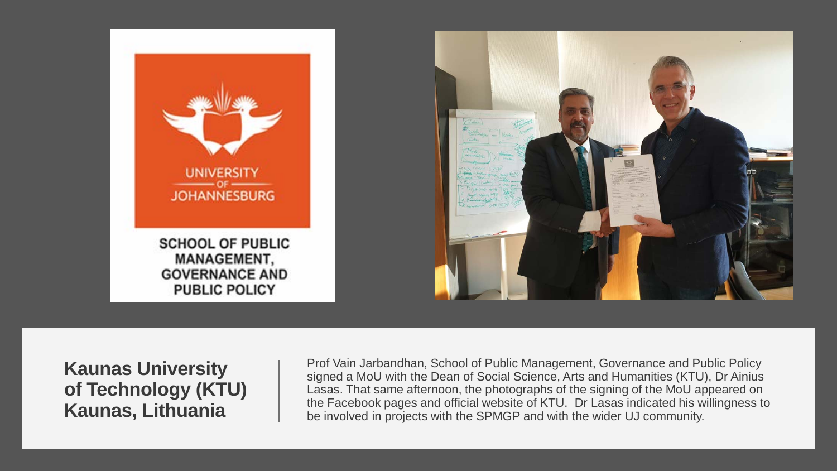

## **Kaunas University of Technology (KTU) Kaunas, Lithuania**

Prof Vain Jarbandhan, School of Public Management, Governance and Public Policy signed a MoU with the Dean of Social Science, Arts and Humanities (KTU), Dr Ainius Lasas. That same afternoon, the photographs of the signing of the MoU appeared on the Facebook pages and official website of KTU. Dr Lasas indicated his willingness to be involved in projects with the SPMGP and with the wider UJ community.

**1**